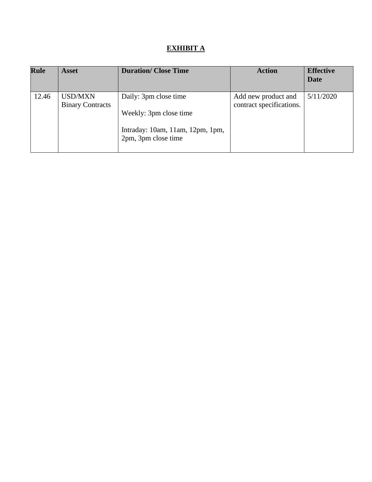## **EXHIBIT A**

| <b>Rule</b> | <b>Asset</b>                              | <b>Duration/Close Time</b>                                                                                 | <b>Action</b>                                   | <b>Effective</b><br>Date |
|-------------|-------------------------------------------|------------------------------------------------------------------------------------------------------------|-------------------------------------------------|--------------------------|
| 12.46       | <b>USD/MXN</b><br><b>Binary Contracts</b> | Daily: 3pm close time<br>Weekly: 3pm close time<br>Intraday: 10am, 11am, 12pm, 1pm,<br>2pm, 3pm close time | Add new product and<br>contract specifications. | 5/11/2020                |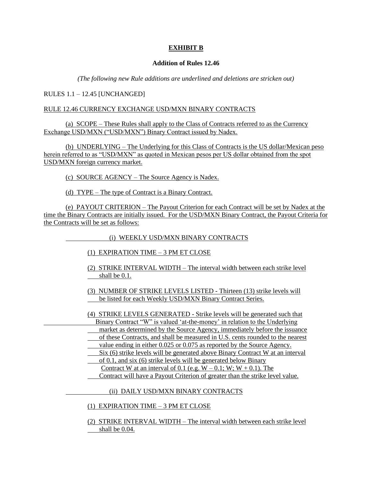## **EXHIBIT B**

## **Addition of Rules 12.46**

*(The following new Rule additions are underlined and deletions are stricken out)*

RULES 1.1 – 12.45 [UNCHANGED]

## RULE 12.46 CURRENCY EXCHANGE USD/MXN BINARY CONTRACTS

(a) SCOPE – These Rules shall apply to the Class of Contracts referred to as the Currency Exchange USD/MXN ("USD/MXN") Binary Contract issued by Nadex.

(b) UNDERLYING – The Underlying for this Class of Contracts is the US dollar/Mexican peso herein referred to as "USD/MXN" as quoted in Mexican pesos per US dollar obtained from the spot USD/MXN foreign currency market.

(c) SOURCE AGENCY – The Source Agency is Nadex.

(d) TYPE – The type of Contract is a Binary Contract.

(e) PAYOUT CRITERION – The Payout Criterion for each Contract will be set by Nadex at the time the Binary Contracts are initially issued. For the USD/MXN Binary Contract, the Payout Criteria for the Contracts will be set as follows:

(i) WEEKLY USD/MXN BINARY CONTRACTS

- (1) EXPIRATION TIME 3 PM ET CLOSE
- (2) STRIKE INTERVAL WIDTH The interval width between each strike level shall be 0.1.
- (3) NUMBER OF STRIKE LEVELS LISTED Thirteen (13) strike levels will be listed for each Weekly USD/MXN Binary Contract Series.

(4) STRIKE LEVELS GENERATED - Strike levels will be generated such that Binary Contract "W" is valued 'at-the-money' in relation to the Underlying

- market as determined by the Source Agency, immediately before the issuance
- of these Contracts, and shall be measured in U.S. cents rounded to the nearest
- value ending in either 0.025 or 0.075 as reported by the Source Agency.
- Six (6) strike levels will be generated above Binary Contract W at an interval
- of 0.1, and six (6) strike levels will be generated below Binary
	- Contract W at an interval of 0.1 (e.g.  $W 0.1$ ; W;  $W + 0.1$ ). The
- Contract will have a Payout Criterion of greater than the strike level value.

(ii) DAILY USD/MXN BINARY CONTRACTS

(1) EXPIRATION TIME – 3 PM ET CLOSE

(2) STRIKE INTERVAL WIDTH – The interval width between each strike level shall be 0.04.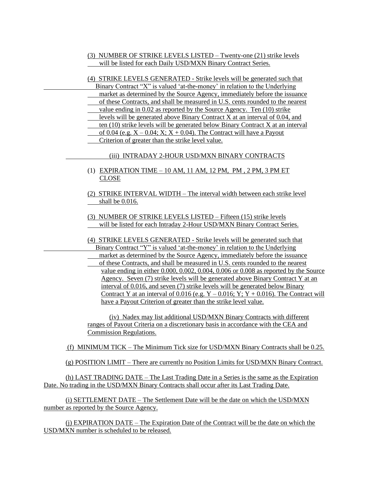- (3) NUMBER OF STRIKE LEVELS LISTED Twenty-one (21) strike levels will be listed for each Daily USD/MXN Binary Contract Series.
- (4) STRIKE LEVELS GENERATED Strike levels will be generated such that Binary Contract "X" is valued 'at-the-money' in relation to the Underlying market as determined by the Source Agency, immediately before the issuance of these Contracts, and shall be measured in U.S. cents rounded to the nearest value ending in 0.02 as reported by the Source Agency. Ten (10) strike levels will be generated above Binary Contract X at an interval of 0.04, and ten (10) strike levels will be generated below Binary Contract X at an interval of 0.04 (e.g.  $X - 0.04$ ;  $X$ ;  $X + 0.04$ ). The Contract will have a Payout Criterion of greater than the strike level value. (iii) INTRADAY 2-HOUR USD/MXN BINARY CONTRACTS (1) EXPIRATION TIME – 10 AM, 11 AM, 12 PM, PM , 2 PM, 3 PM ET CLOSE (2) STRIKE INTERVAL WIDTH – The interval width between each strike level shall be 0.016. (3) NUMBER OF STRIKE LEVELS LISTED – Fifteen (15) strike levels will be listed for each Intraday 2-Hour USD/MXN Binary Contract Series. (4) STRIKE LEVELS GENERATED - Strike levels will be generated such that Binary Contract "Y" is valued 'at-the-money' in relation to the Underlying market as determined by the Source Agency, immediately before the issuance
	- of these Contracts, and shall be measured in U.S. cents rounded to the nearest value ending in either 0.000, 0.002, 0.004, 0.006 or 0.008 as reported by the Source Agency. Seven (7) strike levels will be generated above Binary Contract Y at an interval of 0.016, and seven (7) strike levels will be generated below Binary Contract Y at an interval of 0.016 (e.g.  $Y - 0.016$ ;  $Y$ ;  $Y + 0.016$ ). The Contract will have a Payout Criterion of greater than the strike level value.

(iv) Nadex may list additional USD/MXN Binary Contracts with different ranges of Payout Criteria on a discretionary basis in accordance with the CEA and Commission Regulations.

(f) MINIMUM TICK – The Minimum Tick size for USD/MXN Binary Contracts shall be 0.25.

(g) POSITION LIMIT – There are currently no Position Limits for USD/MXN Binary Contract.

(h) LAST TRADING DATE – The Last Trading Date in a Series is the same as the Expiration Date. No trading in the USD/MXN Binary Contracts shall occur after its Last Trading Date.

(i) SETTLEMENT DATE – The Settlement Date will be the date on which the USD/MXN number as reported by the Source Agency.

(j) EXPIRATION DATE – The Expiration Date of the Contract will be the date on which the USD/MXN number is scheduled to be released.